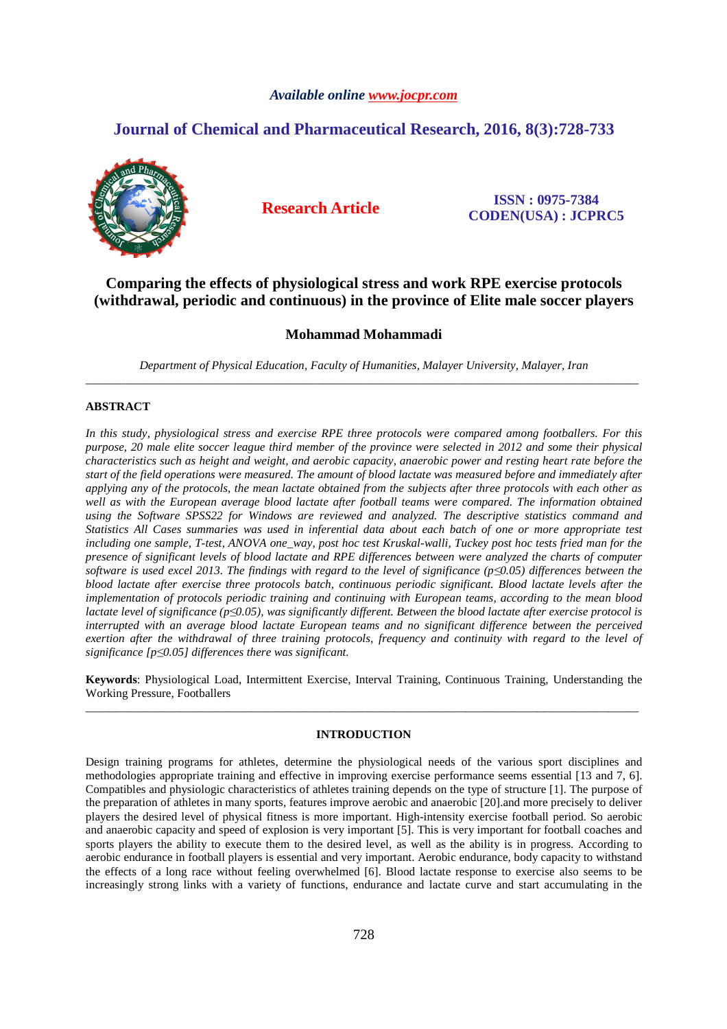## *Available online www.jocpr.com*

# **Journal of Chemical and Pharmaceutical Research, 2016, 8(3):728-733**



**Research Article ISSN : 0975-7384 CODEN(USA) : JCPRC5**

# **Comparing the effects of physiological stress and work RPE exercise protocols (withdrawal, periodic and continuous) in the province of Elite male soccer players**

## **Mohammad Mohammadi**

*Department of Physical Education, Faculty of Humanities, Malayer University, Malayer, Iran* \_\_\_\_\_\_\_\_\_\_\_\_\_\_\_\_\_\_\_\_\_\_\_\_\_\_\_\_\_\_\_\_\_\_\_\_\_\_\_\_\_\_\_\_\_\_\_\_\_\_\_\_\_\_\_\_\_\_\_\_\_\_\_\_\_\_\_\_\_\_\_\_\_\_\_\_\_\_\_\_\_\_\_\_\_\_\_\_\_\_\_\_\_

### **ABSTRACT**

*In this study, physiological stress and exercise RPE three protocols were compared among footballers. For this purpose, 20 male elite soccer league third member of the province were selected in 2012 and some their physical characteristics such as height and weight, and aerobic capacity, anaerobic power and resting heart rate before the start of the field operations were measured. The amount of blood lactate was measured before and immediately after applying any of the protocols, the mean lactate obtained from the subjects after three protocols with each other as*  well as with the European average blood lactate after football teams were compared. The information obtained *using the Software SPSS22 for Windows are reviewed and analyzed. The descriptive statistics command and Statistics All Cases summaries was used in inferential data about each batch of one or more appropriate test including one sample, T-test, ANOVA one\_way, post hoc test Kruskal-walli, Tuckey post hoc tests fried man for the presence of significant levels of blood lactate and RPE differences between were analyzed the charts of computer software is used excel 2013. The findings with regard to the level of significance (p≤0.05) differences between the blood lactate after exercise three protocols batch, continuous periodic significant. Blood lactate levels after the implementation of protocols periodic training and continuing with European teams, according to the mean blood lactate level of significance (p≤0.05), was significantly different. Between the blood lactate after exercise protocol is interrupted with an average blood lactate European teams and no significant difference between the perceived exertion after the withdrawal of three training protocols, frequency and continuity with regard to the level of significance [p≤0.05] differences there was significant.* 

**Keywords**: Physiological Load, Intermittent Exercise, Interval Training, Continuous Training, Understanding the Working Pressure, Footballers \_\_\_\_\_\_\_\_\_\_\_\_\_\_\_\_\_\_\_\_\_\_\_\_\_\_\_\_\_\_\_\_\_\_\_\_\_\_\_\_\_\_\_\_\_\_\_\_\_\_\_\_\_\_\_\_\_\_\_\_\_\_\_\_\_\_\_\_\_\_\_\_\_\_\_\_\_\_\_\_\_\_\_\_\_\_\_\_\_\_\_\_\_

## **INTRODUCTION**

Design training programs for athletes, determine the physiological needs of the various sport disciplines and methodologies appropriate training and effective in improving exercise performance seems essential [13 and 7, 6]. Compatibles and physiologic characteristics of athletes training depends on the type of structure [1]. The purpose of the preparation of athletes in many sports, features improve aerobic and anaerobic [20].and more precisely to deliver players the desired level of physical fitness is more important. High-intensity exercise football period. So aerobic and anaerobic capacity and speed of explosion is very important [5]. This is very important for football coaches and sports players the ability to execute them to the desired level, as well as the ability is in progress. According to aerobic endurance in football players is essential and very important. Aerobic endurance, body capacity to withstand the effects of a long race without feeling overwhelmed [6]. Blood lactate response to exercise also seems to be increasingly strong links with a variety of functions, endurance and lactate curve and start accumulating in the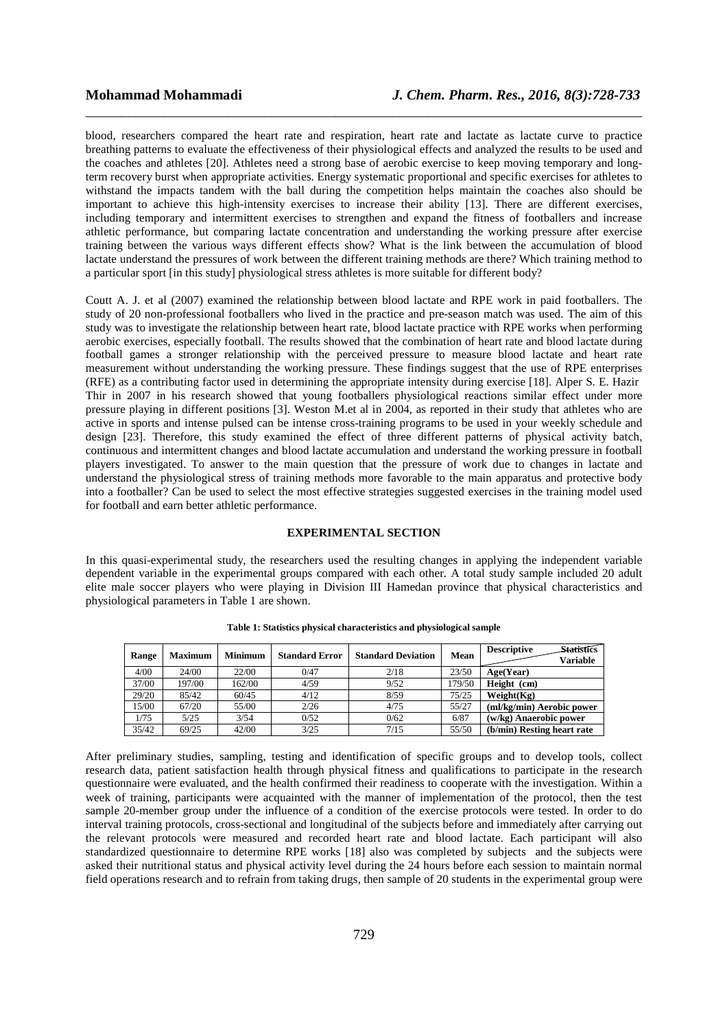blood, researchers compared the heart rate and respiration, heart rate and lactate as lactate curve to practice breathing patterns to evaluate the effectiveness of their physiological effects and analyzed the results to be used and the coaches and athletes [20]. Athletes need a strong base of aerobic exercise to keep moving temporary and longterm recovery burst when appropriate activities. Energy systematic proportional and specific exercises for athletes to withstand the impacts tandem with the ball during the competition helps maintain the coaches also should be important to achieve this high-intensity exercises to increase their ability [13]. There are different exercises, including temporary and intermittent exercises to strengthen and expand the fitness of footballers and increase athletic performance, but comparing lactate concentration and understanding the working pressure after exercise training between the various ways different effects show? What is the link between the accumulation of blood lactate understand the pressures of work between the different training methods are there? Which training method to a particular sport [in this study] physiological stress athletes is more suitable for different body?

\_\_\_\_\_\_\_\_\_\_\_\_\_\_\_\_\_\_\_\_\_\_\_\_\_\_\_\_\_\_\_\_\_\_\_\_\_\_\_\_\_\_\_\_\_\_\_\_\_\_\_\_\_\_\_\_\_\_\_\_\_\_\_\_\_\_\_\_\_\_\_\_\_\_\_\_\_\_

Coutt A. J. et al (2007) examined the relationship between blood lactate and RPE work in paid footballers. The study of 20 non-professional footballers who lived in the practice and pre-season match was used. The aim of this study was to investigate the relationship between heart rate, blood lactate practice with RPE works when performing aerobic exercises, especially football. The results showed that the combination of heart rate and blood lactate during football games a stronger relationship with the perceived pressure to measure blood lactate and heart rate measurement without understanding the working pressure. These findings suggest that the use of RPE enterprises (RFE) as a contributing factor used in determining the appropriate intensity during exercise [18]. Alper S. E. Hazir Thir in 2007 in his research showed that young footballers physiological reactions similar effect under more pressure playing in different positions [3]. Weston M.et al in 2004, as reported in their study that athletes who are active in sports and intense pulsed can be intense cross-training programs to be used in your weekly schedule and design [23]. Therefore, this study examined the effect of three different patterns of physical activity batch, continuous and intermittent changes and blood lactate accumulation and understand the working pressure in football players investigated. To answer to the main question that the pressure of work due to changes in lactate and understand the physiological stress of training methods more favorable to the main apparatus and protective body into a footballer? Can be used to select the most effective strategies suggested exercises in the training model used for football and earn better athletic performance.

### **EXPERIMENTAL SECTION**

In this quasi-experimental study, the researchers used the resulting changes in applying the independent variable dependent variable in the experimental groups compared with each other. A total study sample included 20 adult elite male soccer players who were playing in Division III Hamedan province that physical characteristics and physiological parameters in Table 1 are shown.

| Range | <b>Maximum</b> | <b>Minimum</b> | <b>Standard Error</b> | <b>Standard Deviation</b> | Mean   | <b>Statistics</b><br><b>Descriptive</b><br>Variable |
|-------|----------------|----------------|-----------------------|---------------------------|--------|-----------------------------------------------------|
| 4/00  | 24/00          | 22/00          | 0/47                  | 2/18                      | 23/50  | Age(Year)                                           |
| 37/00 | 197/00         | 162/00         | 4/59                  | 9/52                      | 179/50 | Height (cm)                                         |
| 29/20 | 85/42          | 60/45          | 4/12                  | 8/59                      | 75/25  | Weight(Kg)                                          |
| 15/00 | 67/20          | 55/00          | 2/26                  | 4/75                      | 55/27  | (ml/kg/min) Aerobic power                           |
| l/75  | 5/25           | 3/54           | 0/52                  | 0/62                      | 6/87   | (w/kg) Anaerobic power                              |
| 35/42 | 69/25          | 42/00          | 3/25                  | 7/15                      | 55/50  | (b/min) Resting heart rate                          |

**Table 1: Statistics physical characteristics and physiological sample** 

After preliminary studies, sampling, testing and identification of specific groups and to develop tools, collect research data, patient satisfaction health through physical fitness and qualifications to participate in the research questionnaire were evaluated, and the health confirmed their readiness to cooperate with the investigation. Within a week of training, participants were acquainted with the manner of implementation of the protocol, then the test sample 20-member group under the influence of a condition of the exercise protocols were tested. In order to do interval training protocols, cross-sectional and longitudinal of the subjects before and immediately after carrying out the relevant protocols were measured and recorded heart rate and blood lactate. Each participant will also standardized questionnaire to determine RPE works [18] also was completed by subjects and the subjects were asked their nutritional status and physical activity level during the 24 hours before each session to maintain normal field operations research and to refrain from taking drugs, then sample of 20 students in the experimental group were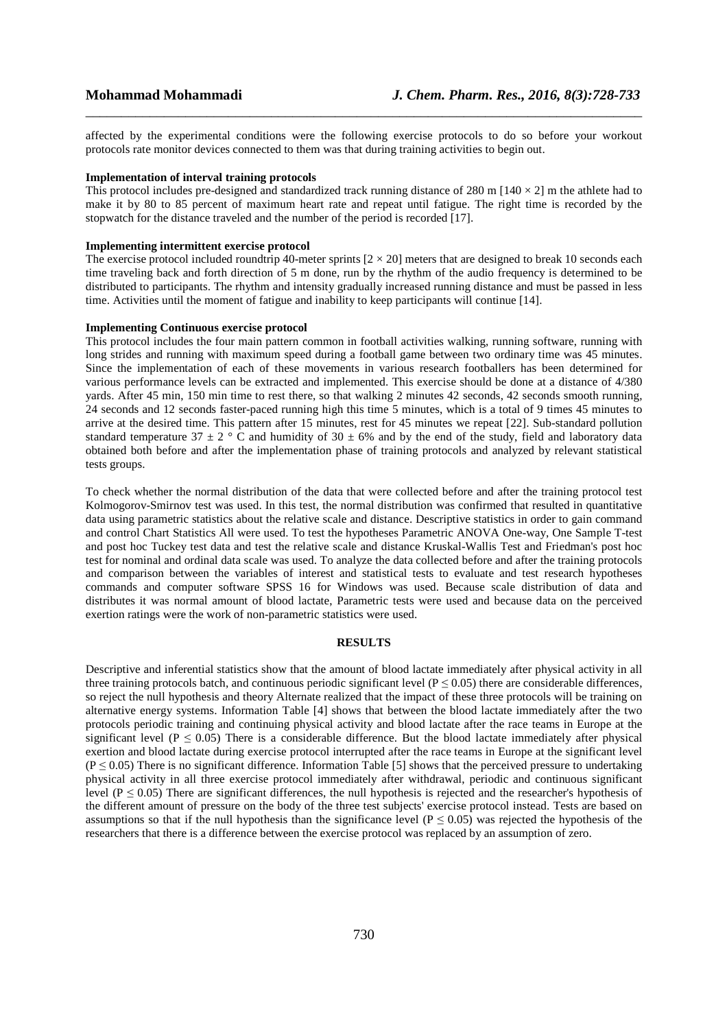affected by the experimental conditions were the following exercise protocols to do so before your workout protocols rate monitor devices connected to them was that during training activities to begin out.

\_\_\_\_\_\_\_\_\_\_\_\_\_\_\_\_\_\_\_\_\_\_\_\_\_\_\_\_\_\_\_\_\_\_\_\_\_\_\_\_\_\_\_\_\_\_\_\_\_\_\_\_\_\_\_\_\_\_\_\_\_\_\_\_\_\_\_\_\_\_\_\_\_\_\_\_\_\_

#### **Implementation of interval training protocols**

This protocol includes pre-designed and standardized track running distance of 280 m  $[140 \times 2]$  m the athlete had to make it by 80 to 85 percent of maximum heart rate and repeat until fatigue. The right time is recorded by the stopwatch for the distance traveled and the number of the period is recorded [17].

## **Implementing intermittent exercise protocol**

The exercise protocol included roundtrip 40-meter sprints  $[2 \times 20]$  meters that are designed to break 10 seconds each time traveling back and forth direction of 5 m done, run by the rhythm of the audio frequency is determined to be distributed to participants. The rhythm and intensity gradually increased running distance and must be passed in less time. Activities until the moment of fatigue and inability to keep participants will continue [14].

#### **Implementing Continuous exercise protocol**

This protocol includes the four main pattern common in football activities walking, running software, running with long strides and running with maximum speed during a football game between two ordinary time was 45 minutes. Since the implementation of each of these movements in various research footballers has been determined for various performance levels can be extracted and implemented. This exercise should be done at a distance of 4/380 yards. After 45 min, 150 min time to rest there, so that walking 2 minutes 42 seconds, 42 seconds smooth running, 24 seconds and 12 seconds faster-paced running high this time 5 minutes, which is a total of 9 times 45 minutes to arrive at the desired time. This pattern after 15 minutes, rest for 45 minutes we repeat [22]. Sub-standard pollution standard temperature 37  $\pm$  2  $\degree$  C and humidity of 30  $\pm$  6% and by the end of the study, field and laboratory data obtained both before and after the implementation phase of training protocols and analyzed by relevant statistical tests groups.

To check whether the normal distribution of the data that were collected before and after the training protocol test Kolmogorov-Smirnov test was used. In this test, the normal distribution was confirmed that resulted in quantitative data using parametric statistics about the relative scale and distance. Descriptive statistics in order to gain command and control Chart Statistics All were used. To test the hypotheses Parametric ANOVA One-way, One Sample T-test and post hoc Tuckey test data and test the relative scale and distance Kruskal-Wallis Test and Friedman's post hoc test for nominal and ordinal data scale was used. To analyze the data collected before and after the training protocols and comparison between the variables of interest and statistical tests to evaluate and test research hypotheses commands and computer software SPSS 16 for Windows was used. Because scale distribution of data and distributes it was normal amount of blood lactate, Parametric tests were used and because data on the perceived exertion ratings were the work of non-parametric statistics were used.

#### **RESULTS**

Descriptive and inferential statistics show that the amount of blood lactate immediately after physical activity in all three training protocols batch, and continuous periodic significant level ( $P \le 0.05$ ) there are considerable differences, so reject the null hypothesis and theory Alternate realized that the impact of these three protocols will be training on alternative energy systems. Information Table [4] shows that between the blood lactate immediately after the two protocols periodic training and continuing physical activity and blood lactate after the race teams in Europe at the significant level ( $P \le 0.05$ ) There is a considerable difference. But the blood lactate immediately after physical exertion and blood lactate during exercise protocol interrupted after the race teams in Europe at the significant level  $(P \le 0.05)$  There is no significant difference. Information Table [5] shows that the perceived pressure to undertaking physical activity in all three exercise protocol immediately after withdrawal, periodic and continuous significant level ( $P \le 0.05$ ) There are significant differences, the null hypothesis is rejected and the researcher's hypothesis of the different amount of pressure on the body of the three test subjects' exercise protocol instead. Tests are based on assumptions so that if the null hypothesis than the significance level ( $P \le 0.05$ ) was rejected the hypothesis of the researchers that there is a difference between the exercise protocol was replaced by an assumption of zero.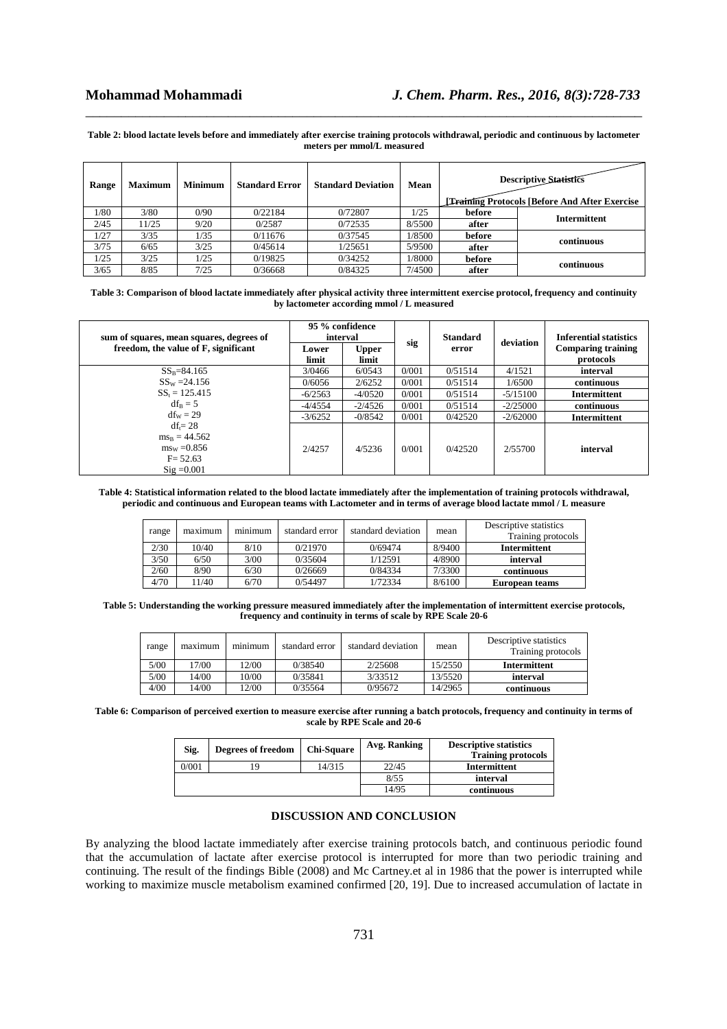#### **Table 2: blood lactate levels before and immediately after exercise training protocols withdrawal, periodic and continuous by lactometer meters per mmol/L measured**

\_\_\_\_\_\_\_\_\_\_\_\_\_\_\_\_\_\_\_\_\_\_\_\_\_\_\_\_\_\_\_\_\_\_\_\_\_\_\_\_\_\_\_\_\_\_\_\_\_\_\_\_\_\_\_\_\_\_\_\_\_\_\_\_\_\_\_\_\_\_\_\_\_\_\_\_\_\_

| <b>Descriptive Statistics</b><br><b>Training Protocols [Before And After Exercise]</b> |        | Mean   | <b>Standard Deviation</b> | <b>Standard Error</b> | <b>Minimum</b> | <b>Maximum</b> | Range |
|----------------------------------------------------------------------------------------|--------|--------|---------------------------|-----------------------|----------------|----------------|-------|
| <b>Intermittent</b>                                                                    | before | 1/25   | 0/72807                   | 0/22184               | 0/90           | 3/80           | 1/80  |
|                                                                                        | after  | 8/5500 | 0/72535                   | 0/2587                | 9/20           | 11/25          | 2/45  |
| continuous                                                                             | before | 1/8500 | 0/37545                   | 0/11676               | 1/35           | 3/35           | 1/27  |
|                                                                                        | after  | 5/9500 | 1/25651                   | 0/45614               | 3/25           | 6/65           | 3/75  |
|                                                                                        | before | 1/8000 | 0/34252                   | 0/19825               | 1/25           | 3/25           | 1/25  |
| continuous                                                                             | after  | 7/4500 | 0/84325                   | 0/36668               | 7/25           | 8/85           | 3/65  |

**Table 3: Comparison of blood lactate immediately after physical activity three intermittent exercise protocol, frequency and continuity by lactometer according mmol / L measured** 

| sum of squares, mean squares, degrees of                                                        | 95 % confidence<br>interval |                       | sig   | <b>Standard</b> | deviation  | <b>Inferential statistics</b>          |
|-------------------------------------------------------------------------------------------------|-----------------------------|-----------------------|-------|-----------------|------------|----------------------------------------|
| freedom, the value of F, significant                                                            | Lower<br>limit              | <b>Upper</b><br>limit |       | error           |            | <b>Comparing training</b><br>protocols |
| $SS_B = 84.165$                                                                                 | 3/0466                      | 6/0543                | 0/001 | 0/51514         | 4/1521     | interval                               |
| $SS_W = 24.156$                                                                                 | 0/6056                      | 2/6252                | 0/001 | 0/51514         | 1/6500     | continuous                             |
| $SS_t = 125.415$                                                                                | $-6/2563$                   | $-4/0520$             | 0/001 | 0/51514         | $-5/15100$ | Intermittent                           |
| $df_B = 5$                                                                                      | $-4/4554$                   | $-2/4526$             | 0/001 | 0/51514         | $-2/25000$ | continuous                             |
| $df_w = 29$                                                                                     | $-3/6252$                   | $-0/8542$             | 0/001 | 0/42520         | $-2/62000$ | Intermittent                           |
| $df = 28$<br>$ms_B = 44.562$<br>$ms_w = 0.856$<br>$F = 52.63$<br>$\mathrm{Si}\mathrm{g}$ =0.001 | 2/4257                      | 4/5236                | 0/001 | 0/42520         | 2/55700    | interval                               |

#### **Table 4: Statistical information related to the blood lactate immediately after the implementation of training protocols withdrawal, periodic and continuous and European teams with Lactometer and in terms of average blood lactate mmol / L measure**

| Descriptive statistics<br>Training protocols | mean   | standard deviation | standard error | minimum | maximum | range |
|----------------------------------------------|--------|--------------------|----------------|---------|---------|-------|
| Intermittent                                 | 8/9400 | 0/69474            | 0/21970        | 8/10    | 10/40   | 2/30  |
| interval                                     | 4/8900 | 1/12591            | 0/35604        | 3/00    | 6/50    | 3/50  |
| continuous                                   | 7/3300 | 0/84334            | 0/26669        | 6/30    | 8/90    | 2/60  |
| European teams                               | 8/6100 | 1/72334            | 0/54497        | 6/70    | 11/40   | 4/70  |

**Table 5: Understanding the working pressure measured immediately after the implementation of intermittent exercise protocols, frequency and continuity in terms of scale by RPE Scale 20-6** 

| range | maximum | minimum | standard error | standard deviation | mean    | Descriptive statistics<br>Training protocols |
|-------|---------|---------|----------------|--------------------|---------|----------------------------------------------|
| 5/00  | 17/00   | 12/00   | 0/38540        | 2/25608            | 15/2550 | <b>Intermittent</b>                          |
| 5/00  | 14/00   | 10/00   | 0/35841        | 3/33512            | 13/5520 | interval                                     |
| 4/00  | 14/00   | 12/00   | 0/35564        | 0/95672            | 14/2965 | continuous                                   |

**Table 6: Comparison of perceived exertion to measure exercise after running a batch protocols, frequency and continuity in terms of scale by RPE Scale and 20-6** 

| Sig.  | Degrees of freedom | <b>Chi-Square</b> | Avg. Ranking | <b>Descriptive statistics</b><br><b>Training protocols</b> |
|-------|--------------------|-------------------|--------------|------------------------------------------------------------|
| 0/001 | 19                 | 14/315            | 22/45        | Intermittent                                               |
|       |                    |                   | 8/55         | interval                                                   |
|       |                    |                   | 14/95        | continuous                                                 |

#### **DISCUSSION AND CONCLUSION**

By analyzing the blood lactate immediately after exercise training protocols batch, and continuous periodic found that the accumulation of lactate after exercise protocol is interrupted for more than two periodic training and continuing. The result of the findings Bible (2008) and Mc Cartney.et al in 1986 that the power is interrupted while working to maximize muscle metabolism examined confirmed [20, 19]. Due to increased accumulation of lactate in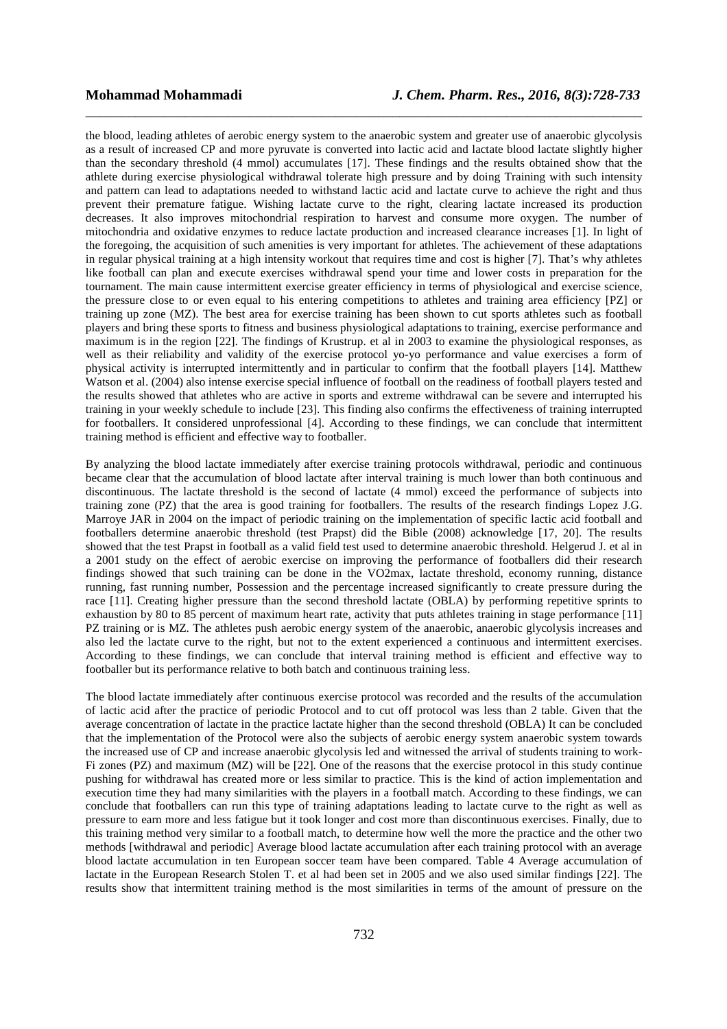the blood, leading athletes of aerobic energy system to the anaerobic system and greater use of anaerobic glycolysis as a result of increased CP and more pyruvate is converted into lactic acid and lactate blood lactate slightly higher than the secondary threshold (4 mmol) accumulates [17]. These findings and the results obtained show that the athlete during exercise physiological withdrawal tolerate high pressure and by doing Training with such intensity and pattern can lead to adaptations needed to withstand lactic acid and lactate curve to achieve the right and thus prevent their premature fatigue. Wishing lactate curve to the right, clearing lactate increased its production decreases. It also improves mitochondrial respiration to harvest and consume more oxygen. The number of mitochondria and oxidative enzymes to reduce lactate production and increased clearance increases [1]. In light of the foregoing, the acquisition of such amenities is very important for athletes. The achievement of these adaptations in regular physical training at a high intensity workout that requires time and cost is higher [7]. That's why athletes like football can plan and execute exercises withdrawal spend your time and lower costs in preparation for the tournament. The main cause intermittent exercise greater efficiency in terms of physiological and exercise science, the pressure close to or even equal to his entering competitions to athletes and training area efficiency [PZ] or training up zone (MZ). The best area for exercise training has been shown to cut sports athletes such as football players and bring these sports to fitness and business physiological adaptations to training, exercise performance and maximum is in the region [22]. The findings of Krustrup. et al in 2003 to examine the physiological responses, as well as their reliability and validity of the exercise protocol yo-yo performance and value exercises a form of physical activity is interrupted intermittently and in particular to confirm that the football players [14]. Matthew Watson et al. (2004) also intense exercise special influence of football on the readiness of football players tested and the results showed that athletes who are active in sports and extreme withdrawal can be severe and interrupted his training in your weekly schedule to include [23]. This finding also confirms the effectiveness of training interrupted for footballers. It considered unprofessional [4]. According to these findings, we can conclude that intermittent training method is efficient and effective way to footballer.

\_\_\_\_\_\_\_\_\_\_\_\_\_\_\_\_\_\_\_\_\_\_\_\_\_\_\_\_\_\_\_\_\_\_\_\_\_\_\_\_\_\_\_\_\_\_\_\_\_\_\_\_\_\_\_\_\_\_\_\_\_\_\_\_\_\_\_\_\_\_\_\_\_\_\_\_\_\_

By analyzing the blood lactate immediately after exercise training protocols withdrawal, periodic and continuous became clear that the accumulation of blood lactate after interval training is much lower than both continuous and discontinuous. The lactate threshold is the second of lactate (4 mmol) exceed the performance of subjects into training zone (PZ) that the area is good training for footballers. The results of the research findings Lopez J.G. Marroye JAR in 2004 on the impact of periodic training on the implementation of specific lactic acid football and footballers determine anaerobic threshold (test Prapst) did the Bible (2008) acknowledge [17, 20]. The results showed that the test Prapst in football as a valid field test used to determine anaerobic threshold. Helgerud J. et al in a 2001 study on the effect of aerobic exercise on improving the performance of footballers did their research findings showed that such training can be done in the VO2max, lactate threshold, economy running, distance running, fast running number, Possession and the percentage increased significantly to create pressure during the race [11]. Creating higher pressure than the second threshold lactate (OBLA) by performing repetitive sprints to exhaustion by 80 to 85 percent of maximum heart rate, activity that puts athletes training in stage performance [11] PZ training or is MZ. The athletes push aerobic energy system of the anaerobic, anaerobic glycolysis increases and also led the lactate curve to the right, but not to the extent experienced a continuous and intermittent exercises. According to these findings, we can conclude that interval training method is efficient and effective way to footballer but its performance relative to both batch and continuous training less.

The blood lactate immediately after continuous exercise protocol was recorded and the results of the accumulation of lactic acid after the practice of periodic Protocol and to cut off protocol was less than 2 table. Given that the average concentration of lactate in the practice lactate higher than the second threshold (OBLA) It can be concluded that the implementation of the Protocol were also the subjects of aerobic energy system anaerobic system towards the increased use of CP and increase anaerobic glycolysis led and witnessed the arrival of students training to work-Fi zones (PZ) and maximum (MZ) will be [22]. One of the reasons that the exercise protocol in this study continue pushing for withdrawal has created more or less similar to practice. This is the kind of action implementation and execution time they had many similarities with the players in a football match. According to these findings, we can conclude that footballers can run this type of training adaptations leading to lactate curve to the right as well as pressure to earn more and less fatigue but it took longer and cost more than discontinuous exercises. Finally, due to this training method very similar to a football match, to determine how well the more the practice and the other two methods [withdrawal and periodic] Average blood lactate accumulation after each training protocol with an average blood lactate accumulation in ten European soccer team have been compared. Table 4 Average accumulation of lactate in the European Research Stolen T. et al had been set in 2005 and we also used similar findings [22]. The results show that intermittent training method is the most similarities in terms of the amount of pressure on the